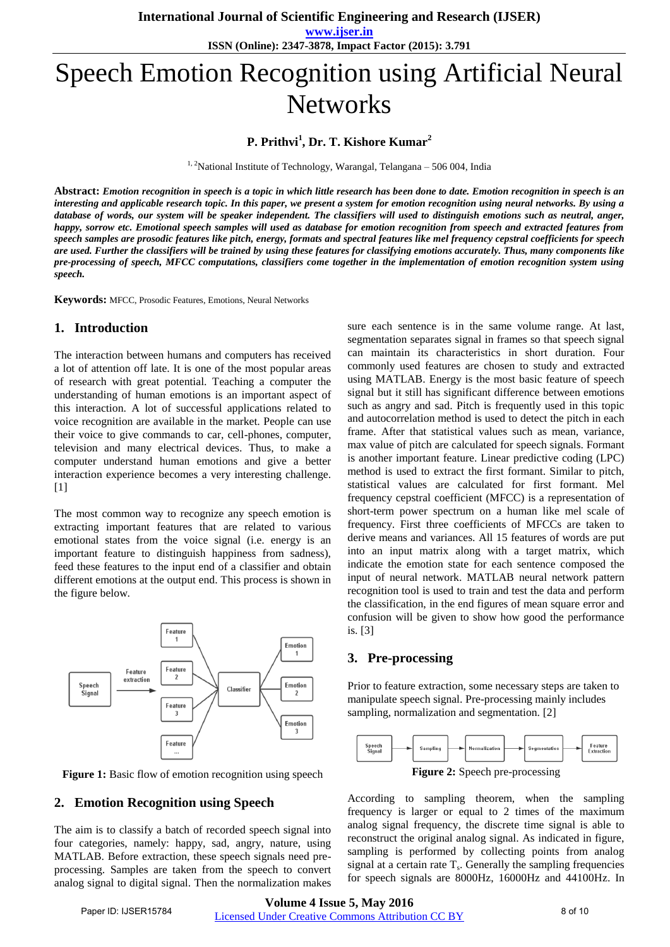**www.ijser.in ISSN (Online): 2347-3878, Impact Factor (2015): 3.791**

# Speech Emotion Recognition using Artificial Neural **Networks**

## **P. Prithvi<sup>1</sup> , Dr. T. Kishore Kumar<sup>2</sup>**

 $1, 2$ National Institute of Technology, Warangal, Telangana – 506 004, India

**Abstract:** *Emotion recognition in speech is a topic in which little research has been done to date. Emotion recognition in speech is an interesting and applicable research topic. In this paper, we present a system for emotion recognition using neural networks. By using a database of words, our system will be speaker independent. The classifiers will used to distinguish emotions such as neutral, anger, happy, sorrow etc. Emotional speech samples will used as database for emotion recognition from speech and extracted features from speech samples are prosodic features like pitch, energy, formats and spectral features like mel frequency cepstral coefficients for speech are used. Further the classifiers will be trained by using these features for classifying emotions accurately. Thus, many components like pre-processing of speech, MFCC computations, classifiers come together in the implementation of emotion recognition system using speech.* 

**Keywords:** MFCC, Prosodic Features, Emotions, Neural Networks

#### **1. Introduction**

The interaction between humans and computers has received a lot of attention off late. It is one of the most popular areas of research with great potential. Teaching a computer the understanding of human emotions is an important aspect of this interaction. A lot of successful applications related to voice recognition are available in the market. People can use their voice to give commands to car, cell-phones, computer, television and many electrical devices. Thus, to make a computer understand human emotions and give a better interaction experience becomes a very interesting challenge.  $[1]$ 

The most common way to recognize any speech emotion is extracting important features that are related to various emotional states from the voice signal (i.e. energy is an important feature to distinguish happiness from sadness), feed these features to the input end of a classifier and obtain different emotions at the output end. This process is shown in the figure below.



Figure 1: Basic flow of emotion recognition using speech

#### **2. Emotion Recognition using Speech**

The aim is to classify a batch of recorded speech signal into four categories, namely: happy, sad, angry, nature, using MATLAB. Before extraction, these speech signals need preprocessing. Samples are taken from the speech to convert analog signal to digital signal. Then the normalization makes

sure each sentence is in the same volume range. At last, segmentation separates signal in frames so that speech signal can maintain its characteristics in short duration. Four commonly used features are chosen to study and extracted using MATLAB. Energy is the most basic feature of speech signal but it still has significant difference between emotions such as angry and sad. Pitch is frequently used in this topic and autocorrelation method is used to detect the pitch in each frame. After that statistical values such as mean, variance, max value of pitch are calculated for speech signals. Formant is another important feature. Linear predictive coding (LPC) method is used to extract the first formant. Similar to pitch, statistical values are calculated for first formant. Mel frequency cepstral coefficient (MFCC) is a representation of short-term power spectrum on a human like mel scale of frequency. First three coefficients of MFCCs are taken to derive means and variances. All 15 features of words are put into an input matrix along with a target matrix, which indicate the emotion state for each sentence composed the input of neural network. MATLAB neural network pattern recognition tool is used to train and test the data and perform the classification, in the end figures of mean square error and confusion will be given to show how good the performance is. [3]

#### **3. Pre-processing**

Prior to feature extraction, some necessary steps are taken to manipulate speech signal. Pre-processing mainly includes sampling, normalization and segmentation. [2]



**Figure 2:** Speech pre-processing

According to sampling theorem, when the sampling frequency is larger or equal to 2 times of the maximum analog signal frequency, the discrete time signal is able to reconstruct the original analog signal. As indicated in figure, sampling is performed by collecting points from analog signal at a certain rate  $T_s$ . Generally the sampling frequencies for speech signals are 8000Hz, 16000Hz and 44100Hz. In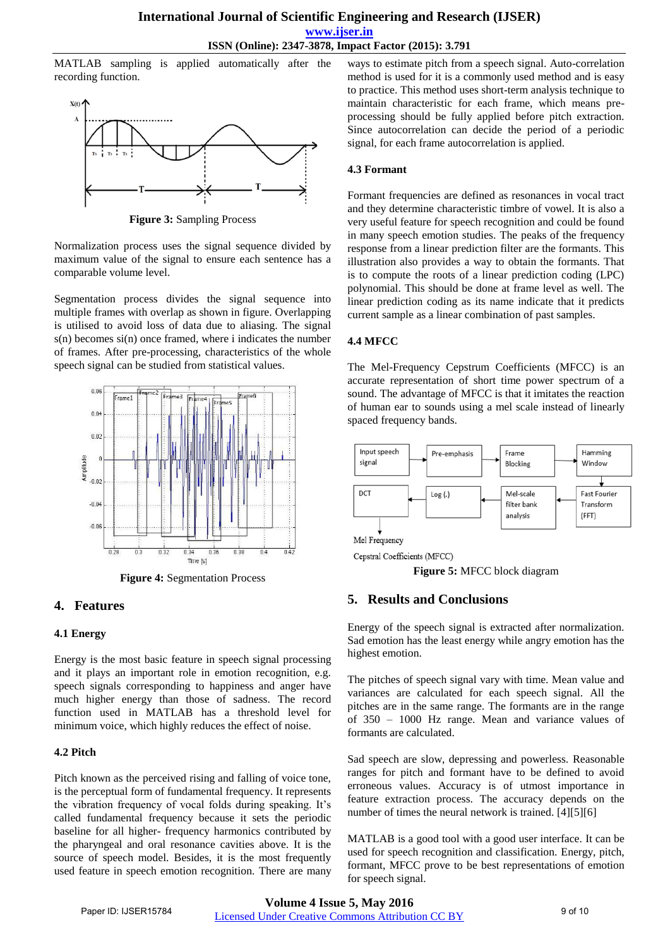MATLAB sampling is applied automatically after the recording function.



**Figure 3:** Sampling Process

Normalization process uses the signal sequence divided by maximum value of the signal to ensure each sentence has a comparable volume level.

Segmentation process divides the signal sequence into multiple frames with overlap as shown in figure. Overlapping is utilised to avoid loss of data due to aliasing. The signal  $s(n)$  becomes  $si(n)$  once framed, where i indicates the number of frames. After pre-processing, characteristics of the whole speech signal can be studied from statistical values.



**Figure 4:** Segmentation Process

## **4. Features**

#### **4.1 Energy**

Energy is the most basic feature in speech signal processing and it plays an important role in emotion recognition, e.g. speech signals corresponding to happiness and anger have much higher energy than those of sadness. The record function used in MATLAB has a threshold level for minimum voice, which highly reduces the effect of noise.

#### **4.2 Pitch**

Pitch known as the perceived rising and falling of voice tone, is the perceptual form of fundamental frequency. It represents the vibration frequency of vocal folds during speaking. It's called fundamental frequency because it sets the periodic baseline for all higher- frequency harmonics contributed by the pharyngeal and oral resonance cavities above. It is the source of speech model. Besides, it is the most frequently used feature in speech emotion recognition. There are many

ways to estimate pitch from a speech signal. Auto-correlation method is used for it is a commonly used method and is easy to practice. This method uses short-term analysis technique to maintain characteristic for each frame, which means preprocessing should be fully applied before pitch extraction. Since autocorrelation can decide the period of a periodic signal, for each frame autocorrelation is applied.

#### **4.3 Formant**

Formant frequencies are defined as resonances in vocal tract and they determine characteristic timbre of vowel. It is also a very useful feature for speech recognition and could be found in many speech emotion studies. The peaks of the frequency response from a linear prediction filter are the formants. This illustration also provides a way to obtain the formants. That is to compute the roots of a linear prediction coding (LPC) polynomial. This should be done at frame level as well. The linear prediction coding as its name indicate that it predicts current sample as a linear combination of past samples.

#### **4.4 MFCC**

The Mel-Frequency Cepstrum Coefficients (MFCC) is an accurate representation of short time power spectrum of a sound. The advantage of MFCC is that it imitates the reaction of human ear to sounds using a mel scale instead of linearly spaced frequency bands.



Cepstral Coefficients (MFCC)

**Figure 5:** MFCC block diagram

# **5. Results and Conclusions**

Energy of the speech signal is extracted after normalization. Sad emotion has the least energy while angry emotion has the highest emotion.

The pitches of speech signal vary with time. Mean value and variances are calculated for each speech signal. All the pitches are in the same range. The formants are in the range of 350 – 1000 Hz range. Mean and variance values of formants are calculated.

Sad speech are slow, depressing and powerless. Reasonable ranges for pitch and formant have to be defined to avoid erroneous values. Accuracy is of utmost importance in feature extraction process. The accuracy depends on the number of times the neural network is trained. [4][5][6]

MATLAB is a good tool with a good user interface. It can be used for speech recognition and classification. Energy, pitch, formant, MFCC prove to be best representations of emotion for speech signal.